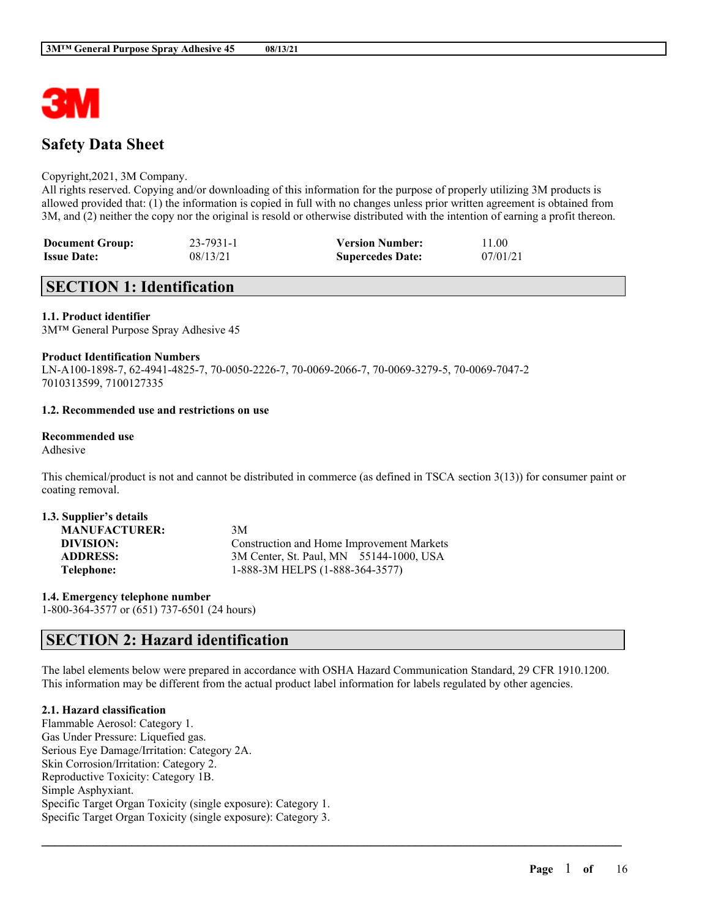

# **Safety Data Sheet**

### Copyright,2021, 3M Company.

All rights reserved. Copying and/or downloading of this information for the purpose of properly utilizing 3M products is allowed provided that: (1) the information is copied in full with no changes unless prior written agreement is obtained from 3M, and (2) neither the copy nor the original is resold or otherwise distributed with the intention of earning a profit thereon.

| <b>Document Group:</b> | $23 - 7931 - 1$ | <b>Version Number:</b>  | 11.00    |
|------------------------|-----------------|-------------------------|----------|
| <b>Issue Date:</b>     | 08/13/21        | <b>Supercedes Date:</b> | 07/01/21 |

## **SECTION 1: Identification**

### **1.1. Product identifier**

3M™ General Purpose Spray Adhesive 45

#### **Product Identification Numbers**

LN-A100-1898-7, 62-4941-4825-7, 70-0050-2226-7, 70-0069-2066-7, 70-0069-3279-5, 70-0069-7047-2 7010313599, 7100127335

### **1.2. Recommended use and restrictions on use**

#### **Recommended use**

Adhesive

This chemical/product is not and cannot be distributed in commerce (as defined in TSCA section 3(13)) for consumer paint or coating removal.

| 1.3. Supplier's details |                                           |
|-------------------------|-------------------------------------------|
| <b>MANUFACTURER:</b>    | 3M                                        |
| DIVISION:               | Construction and Home Improvement Markets |
| <b>ADDRESS:</b>         | 3M Center, St. Paul, MN 55144-1000, USA   |
| Telephone:              | 1-888-3M HELPS (1-888-364-3577)           |

**1.4. Emergency telephone number** 1-800-364-3577 or (651) 737-6501 (24 hours)

## **SECTION 2: Hazard identification**

The label elements below were prepared in accordance with OSHA Hazard Communication Standard, 29 CFR 1910.1200. This information may be different from the actual product label information for labels regulated by other agencies.

 $\mathcal{L}_\mathcal{L} = \mathcal{L}_\mathcal{L} = \mathcal{L}_\mathcal{L} = \mathcal{L}_\mathcal{L} = \mathcal{L}_\mathcal{L} = \mathcal{L}_\mathcal{L} = \mathcal{L}_\mathcal{L} = \mathcal{L}_\mathcal{L} = \mathcal{L}_\mathcal{L} = \mathcal{L}_\mathcal{L} = \mathcal{L}_\mathcal{L} = \mathcal{L}_\mathcal{L} = \mathcal{L}_\mathcal{L} = \mathcal{L}_\mathcal{L} = \mathcal{L}_\mathcal{L} = \mathcal{L}_\mathcal{L} = \mathcal{L}_\mathcal{L}$ 

### **2.1. Hazard classification**

Flammable Aerosol: Category 1. Gas Under Pressure: Liquefied gas. Serious Eye Damage/Irritation: Category 2A. Skin Corrosion/Irritation: Category 2. Reproductive Toxicity: Category 1B. Simple Asphyxiant. Specific Target Organ Toxicity (single exposure): Category 1. Specific Target Organ Toxicity (single exposure): Category 3.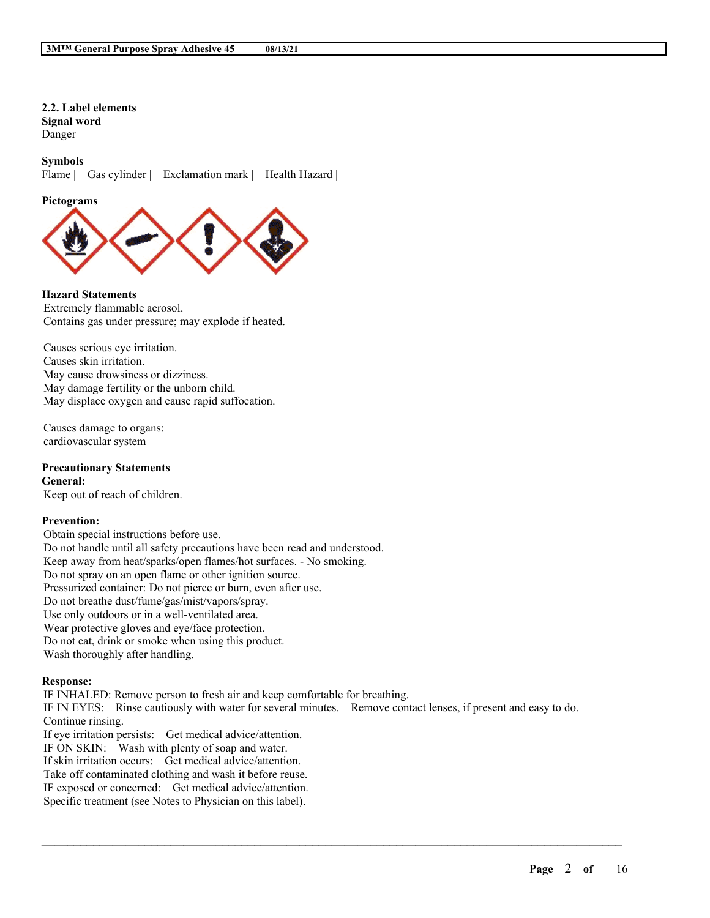## **2.2. Label elements Signal word** Danger

### **Symbols**

Flame | Gas cylinder | Exclamation mark | Health Hazard |

#### **Pictograms**



## **Hazard Statements**

Extremely flammable aerosol. Contains gas under pressure; may explode if heated.

Causes serious eye irritation. Causes skin irritation. May cause drowsiness or dizziness. May damage fertility or the unborn child. May displace oxygen and cause rapid suffocation.

Causes damage to organs: cardiovascular system |

#### **Precautionary Statements General:**

Keep out of reach of children.

### **Prevention:**

Obtain special instructions before use. Do not handle until all safety precautions have been read and understood. Keep away from heat/sparks/open flames/hot surfaces. - No smoking. Do not spray on an open flame or other ignition source. Pressurized container: Do not pierce or burn, even after use. Do not breathe dust/fume/gas/mist/vapors/spray. Use only outdoors or in a well-ventilated area. Wear protective gloves and eye/face protection. Do not eat, drink or smoke when using this product. Wash thoroughly after handling.

### **Response:**

IF INHALED: Remove person to fresh air and keep comfortable for breathing. IF IN EYES: Rinse cautiously with water for several minutes. Remove contact lenses, if present and easy to do. Continue rinsing. If eye irritation persists: Get medical advice/attention. IF ON SKIN: Wash with plenty of soap and water. If skin irritation occurs: Get medical advice/attention. Take off contaminated clothing and wash it before reuse. IF exposed or concerned: Get medical advice/attention.

 $\mathcal{L}_\mathcal{L} = \mathcal{L}_\mathcal{L} = \mathcal{L}_\mathcal{L} = \mathcal{L}_\mathcal{L} = \mathcal{L}_\mathcal{L} = \mathcal{L}_\mathcal{L} = \mathcal{L}_\mathcal{L} = \mathcal{L}_\mathcal{L} = \mathcal{L}_\mathcal{L} = \mathcal{L}_\mathcal{L} = \mathcal{L}_\mathcal{L} = \mathcal{L}_\mathcal{L} = \mathcal{L}_\mathcal{L} = \mathcal{L}_\mathcal{L} = \mathcal{L}_\mathcal{L} = \mathcal{L}_\mathcal{L} = \mathcal{L}_\mathcal{L}$ 

Specific treatment (see Notes to Physician on this label).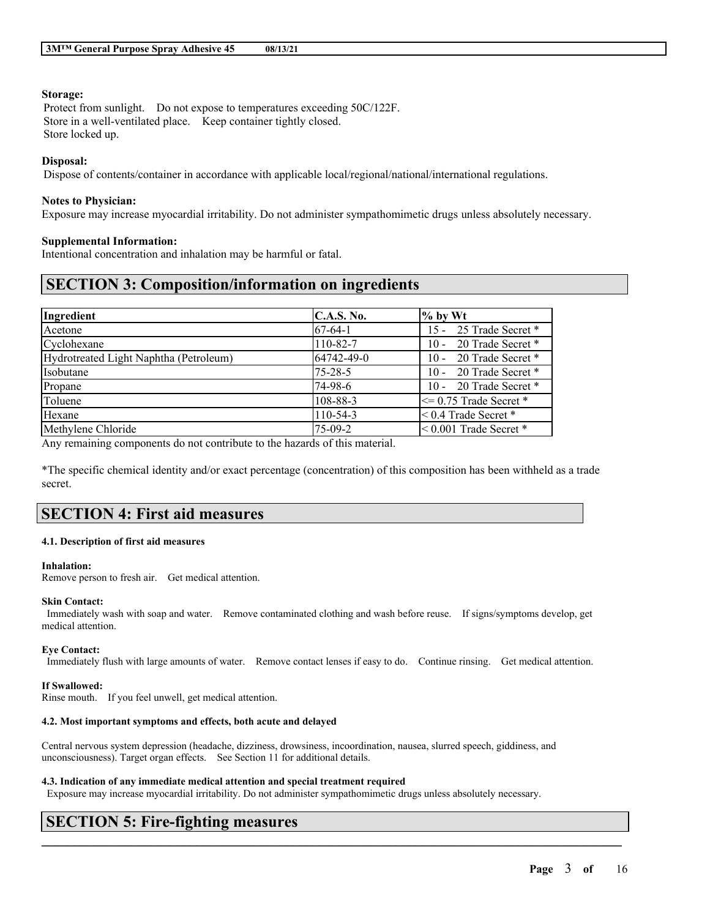### **Storage:**

Protect from sunlight. Do not expose to temperatures exceeding 50C/122F. Store in a well-ventilated place. Keep container tightly closed. Store locked up.

### **Disposal:**

Dispose of contents/container in accordance with applicable local/regional/national/international regulations.

### **Notes to Physician:**

Exposure may increase myocardial irritability. Do not administer sympathomimetic drugs unless absolutely necessary.

### **Supplemental Information:**

Intentional concentration and inhalation may be harmful or fatal.

# **SECTION 3: Composition/information on ingredients**

| Ingredient                             | C.A.S. No.    | $\%$ by Wt                   |
|----------------------------------------|---------------|------------------------------|
| Acetone                                | $ 67-64-1 $   | 15 - 25 Trade Secret *       |
| Cyclohexane                            | 110-82-7      | 10 - 20 Trade Secret *       |
| Hydrotreated Light Naphtha (Petroleum) | 64742-49-0    | 10 - 20 Trade Secret *       |
| Isobutane                              | $75 - 28 - 5$ | 10 - 20 Trade Secret *       |
| Propane                                | 74-98-6       | 10 - 20 Trade Secret *       |
| Toluene                                | 108-88-3      | $\leq$ 0.75 Trade Secret $*$ |
| Hexane                                 | $110-54-3$    | $< 0.4$ Trade Secret $*$     |
| Methylene Chloride                     | 75-09-2       | $< 0.001$ Trade Secret $*$   |

Any remaining components do not contribute to the hazards of this material.

\*The specific chemical identity and/or exact percentage (concentration) of this composition has been withheld as a trade secret.

# **SECTION 4: First aid measures**

### **4.1. Description of first aid measures**

### **Inhalation:**

Remove person to fresh air. Get medical attention.

### **Skin Contact:**

Immediately wash with soap and water. Remove contaminated clothing and wash before reuse. If signs/symptoms develop, get medical attention.

#### **Eye Contact:**

Immediately flush with large amounts of water. Remove contact lenses if easy to do. Continue rinsing. Get medical attention.

### **If Swallowed:**

Rinse mouth. If you feel unwell, get medical attention.

### **4.2. Most important symptoms and effects, both acute and delayed**

Central nervous system depression (headache, dizziness, drowsiness, incoordination, nausea, slurred speech, giddiness, and unconsciousness). Target organ effects. See Section 11 for additional details.

### **4.3. Indication of any immediate medical attention and special treatment required**

Exposure may increase myocardial irritability. Do not administer sympathomimetic drugs unless absolutely necessary.

 $\mathcal{L}_\mathcal{L} = \mathcal{L}_\mathcal{L} = \mathcal{L}_\mathcal{L} = \mathcal{L}_\mathcal{L} = \mathcal{L}_\mathcal{L} = \mathcal{L}_\mathcal{L} = \mathcal{L}_\mathcal{L} = \mathcal{L}_\mathcal{L} = \mathcal{L}_\mathcal{L} = \mathcal{L}_\mathcal{L} = \mathcal{L}_\mathcal{L} = \mathcal{L}_\mathcal{L} = \mathcal{L}_\mathcal{L} = \mathcal{L}_\mathcal{L} = \mathcal{L}_\mathcal{L} = \mathcal{L}_\mathcal{L} = \mathcal{L}_\mathcal{L}$ 

# **SECTION 5: Fire-fighting measures**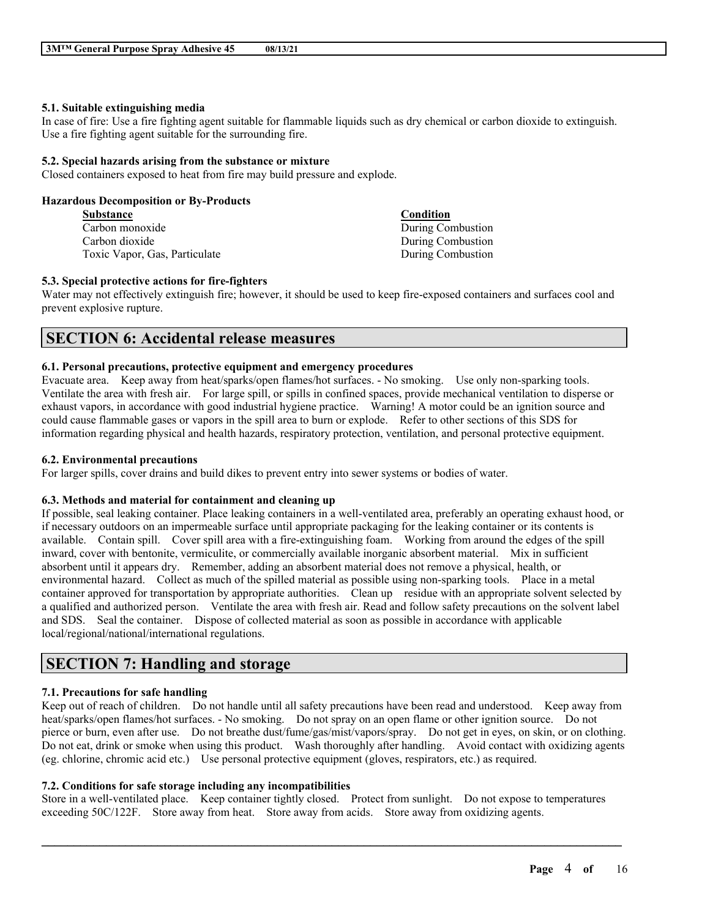### **5.1. Suitable extinguishing media**

In case of fire: Use a fire fighting agent suitable for flammable liquids such as dry chemical or carbon dioxide to extinguish. Use a fire fighting agent suitable for the surrounding fire.

### **5.2. Special hazards arising from the substance or mixture**

Closed containers exposed to heat from fire may build pressure and explode.

### **Hazardous Decomposition or By-Products**

| <b>Substance</b>              | Condition         |
|-------------------------------|-------------------|
| Carbon monoxide               | During Combustion |
| Carbon dioxide                | During Combustion |
| Toxic Vapor, Gas, Particulate | During Combustion |

### **5.3. Special protective actions for fire-fighters**

Water may not effectively extinguish fire; however, it should be used to keep fire-exposed containers and surfaces cool and prevent explosive rupture.

## **SECTION 6: Accidental release measures**

### **6.1. Personal precautions, protective equipment and emergency procedures**

Evacuate area. Keep away from heat/sparks/open flames/hot surfaces. - No smoking. Use only non-sparking tools. Ventilate the area with fresh air. For large spill, or spills in confined spaces, provide mechanical ventilation to disperse or exhaust vapors, in accordance with good industrial hygiene practice. Warning! A motor could be an ignition source and could cause flammable gases or vapors in the spill area to burn or explode. Refer to other sections of this SDS for information regarding physical and health hazards, respiratory protection, ventilation, and personal protective equipment.

### **6.2. Environmental precautions**

For larger spills, cover drains and build dikes to prevent entry into sewer systems or bodies of water.

## **6.3. Methods and material for containment and cleaning up**

If possible, seal leaking container. Place leaking containers in a well-ventilated area, preferably an operating exhaust hood, or if necessary outdoors on an impermeable surface until appropriate packaging for the leaking container or its contents is available. Contain spill. Cover spill area with a fire-extinguishing foam. Working from around the edges of the spill inward, cover with bentonite, vermiculite, or commercially available inorganic absorbent material. Mix in sufficient absorbent until it appears dry. Remember, adding an absorbent material does not remove a physical, health, or environmental hazard. Collect as much of the spilled material as possible using non-sparking tools. Place in a metal container approved for transportation by appropriate authorities. Clean up residue with an appropriate solvent selected by a qualified and authorized person. Ventilate the area with fresh air. Read and follow safety precautions on the solvent label and SDS. Seal the container. Dispose of collected material as soon as possible in accordance with applicable local/regional/national/international regulations.

# **SECTION 7: Handling and storage**

## **7.1. Precautions for safe handling**

Keep out of reach of children. Do not handle until all safety precautions have been read and understood. Keep away from heat/sparks/open flames/hot surfaces. - No smoking. Do not spray on an open flame or other ignition source. Do not pierce or burn, even after use. Do not breathe dust/fume/gas/mist/vapors/spray. Do not get in eyes, on skin, or on clothing. Do not eat, drink or smoke when using this product. Wash thoroughly after handling. Avoid contact with oxidizing agents (eg. chlorine, chromic acid etc.) Use personal protective equipment (gloves, respirators, etc.) as required.

## **7.2. Conditions for safe storage including any incompatibilities**

Store in a well-ventilated place. Keep container tightly closed. Protect from sunlight. Do not expose to temperatures exceeding 50C/122F. Store away from heat. Store away from acids. Store away from oxidizing agents.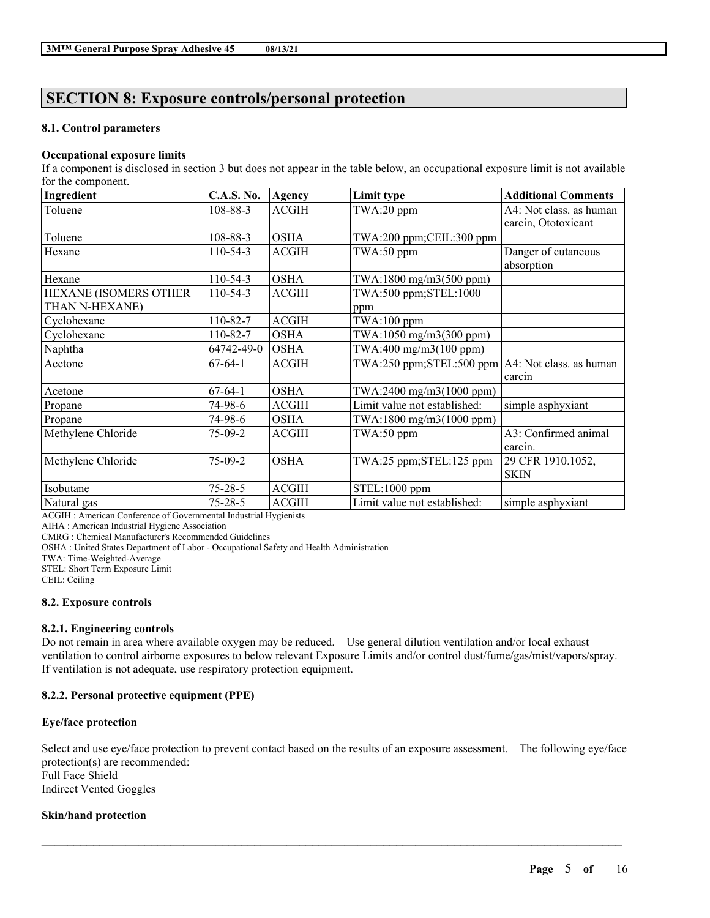# **SECTION 8: Exposure controls/personal protection**

## **8.1. Control parameters**

## **Occupational exposure limits**

If a component is disclosed in section 3 but does not appear in the table below, an occupational exposure limit is not available for the component.

| Ingredient            | <b>C.A.S. No.</b> | Agency       | Limit type                                              | <b>Additional Comments</b> |
|-----------------------|-------------------|--------------|---------------------------------------------------------|----------------------------|
| Toluene               | 108-88-3          | <b>ACGIH</b> | TWA:20 ppm                                              | A4: Not class. as human    |
|                       |                   |              |                                                         | carcin, Ototoxicant        |
| Toluene               | 108-88-3          | <b>OSHA</b>  | TWA:200 ppm;CEIL:300 ppm                                |                            |
| Hexane                | $110-54-3$        | <b>ACGIH</b> | TWA:50 ppm                                              | Danger of cutaneous        |
|                       |                   |              |                                                         | absorption                 |
| Hexane                | $110-54-3$        | <b>OSHA</b>  | TWA:1800 mg/m3(500 ppm)                                 |                            |
| HEXANE (ISOMERS OTHER | $110-54-3$        | <b>ACGIH</b> | TWA:500 ppm;STEL:1000                                   |                            |
| THAN N-HEXANE)        |                   |              | ppm                                                     |                            |
| Cyclohexane           | 110-82-7          | <b>ACGIH</b> | $TWA:100$ ppm                                           |                            |
| Cyclohexane           | 110-82-7          | <b>OSHA</b>  | TWA:1050 mg/m3(300 ppm)                                 |                            |
| Naphtha               | 64742-49-0        | <b>OSHA</b>  | TWA:400 mg/m3(100 ppm)                                  |                            |
| Acetone               | $67-64-1$         | <b>ACGIH</b> | $TWA:250$ ppm; $STEL:500$ ppm $AA:$ Not class. as human |                            |
|                       |                   |              |                                                         | carcin                     |
| Acetone               | $67-64-1$         | <b>OSHA</b>  | TWA:2400 mg/m3(1000 ppm)                                |                            |
| Propane               | 74-98-6           | <b>ACGIH</b> | Limit value not established:                            | simple asphyxiant          |
| Propane               | 74-98-6           | <b>OSHA</b>  | $TWA:1800$ mg/m $3(1000$ ppm)                           |                            |
| Methylene Chloride    | $75-09-2$         | <b>ACGIH</b> | TWA:50 ppm                                              | A3: Confirmed animal       |
|                       |                   |              |                                                         | carcin.                    |
| Methylene Chloride    | 75-09-2           | <b>OSHA</b>  | TWA:25 ppm;STEL:125 ppm                                 | 29 CFR 1910.1052,          |
|                       |                   |              |                                                         | <b>SKIN</b>                |
| Isobutane             | $75 - 28 - 5$     | <b>ACGIH</b> | STEL:1000 ppm                                           |                            |
| Natural gas           | $75 - 28 - 5$     | <b>ACGIH</b> | Limit value not established:                            | simple asphyxiant          |

ACGIH : American Conference of Governmental Industrial Hygienists

AIHA : American Industrial Hygiene Association

CMRG : Chemical Manufacturer's Recommended Guidelines

OSHA : United States Department of Labor - Occupational Safety and Health Administration

TWA: Time-Weighted-Average

STEL: Short Term Exposure Limit

CEIL: Ceiling

## **8.2. Exposure controls**

## **8.2.1. Engineering controls**

Do not remain in area where available oxygen may be reduced. Use general dilution ventilation and/or local exhaust ventilation to control airborne exposures to below relevant Exposure Limits and/or control dust/fume/gas/mist/vapors/spray. If ventilation is not adequate, use respiratory protection equipment.

## **8.2.2. Personal protective equipment (PPE)**

## **Eye/face protection**

Select and use eye/face protection to prevent contact based on the results of an exposure assessment. The following eye/face protection(s) are recommended: Full Face Shield Indirect Vented Goggles

 $\mathcal{L}_\mathcal{L} = \mathcal{L}_\mathcal{L} = \mathcal{L}_\mathcal{L} = \mathcal{L}_\mathcal{L} = \mathcal{L}_\mathcal{L} = \mathcal{L}_\mathcal{L} = \mathcal{L}_\mathcal{L} = \mathcal{L}_\mathcal{L} = \mathcal{L}_\mathcal{L} = \mathcal{L}_\mathcal{L} = \mathcal{L}_\mathcal{L} = \mathcal{L}_\mathcal{L} = \mathcal{L}_\mathcal{L} = \mathcal{L}_\mathcal{L} = \mathcal{L}_\mathcal{L} = \mathcal{L}_\mathcal{L} = \mathcal{L}_\mathcal{L}$ 

## **Skin/hand protection**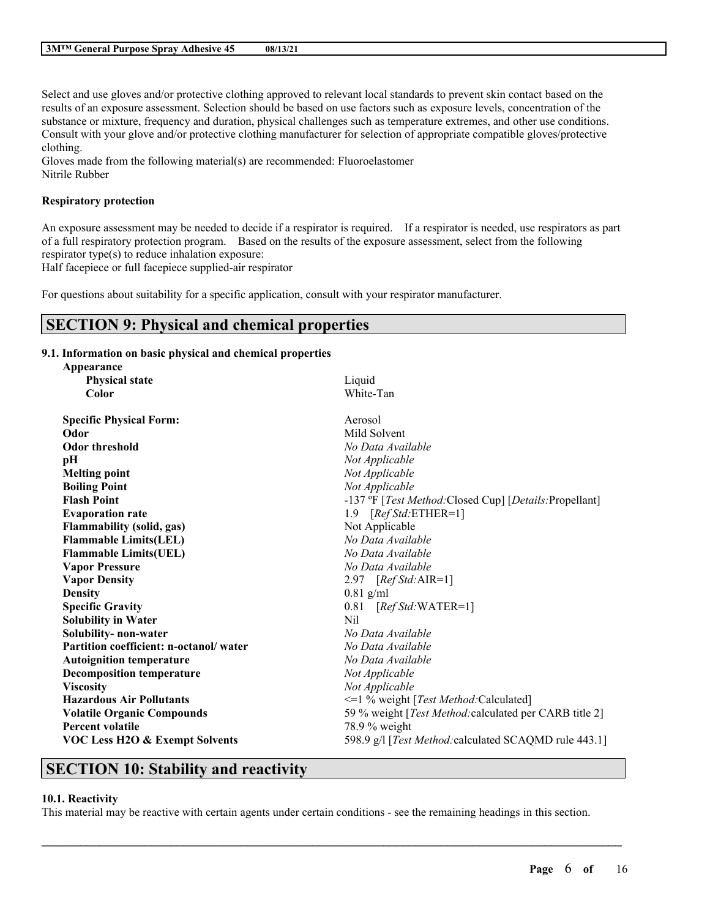Select and use gloves and/or protective clothing approved to relevant local standards to prevent skin contact based on the results of an exposure assessment. Selection should be based on use factors such as exposure levels, concentration of the substance or mixture, frequency and duration, physical challenges such as temperature extremes, and other use conditions. Consult with your glove and/or protective clothing manufacturer for selection of appropriate compatible gloves/protective clothing.

Gloves made from the following material(s) are recommended: Fluoroelastomer Nitrile Rubber

## **Respiratory protection**

An exposure assessment may be needed to decide if a respirator is required. If a respirator is needed, use respirators as part of a full respiratory protection program. Based on the results of the exposure assessment, select from the following respirator type(s) to reduce inhalation exposure:

Half facepiece or full facepiece supplied-air respirator

For questions about suitability for a specific application, consult with your respirator manufacturer.

## **SECTION 9: Physical and chemical properties**

**9.1. Information on basic physical and chemical properties**

| Liquid<br><b>Physical state</b><br>White-Tan<br>Color                                              |
|----------------------------------------------------------------------------------------------------|
|                                                                                                    |
|                                                                                                    |
| <b>Specific Physical Form:</b><br>Aerosol                                                          |
| Mild Solvent<br>Odor                                                                               |
| <b>Odor threshold</b><br>No Data Available                                                         |
| pH<br>Not Applicable                                                                               |
| Not Applicable<br><b>Melting point</b>                                                             |
| <b>Boiling Point</b><br>Not Applicable                                                             |
| <b>Flash Point</b><br>-137 °F [Test Method: Closed Cup] [Details: Propellant]                      |
| 1.9 $[RefStd:ETHER=1]$<br><b>Evaporation rate</b>                                                  |
| Flammability (solid, gas)<br>Not Applicable                                                        |
| No Data Available<br><b>Flammable Limits(LEL)</b>                                                  |
| <b>Flammable Limits(UEL)</b><br>No Data Available                                                  |
| <b>Vapor Pressure</b><br>No Data Available                                                         |
| 2.97 [Ref Std: AIR=1]<br><b>Vapor Density</b>                                                      |
| <b>Density</b><br>$0.81$ g/ml                                                                      |
| <b>Specific Gravity</b><br>$0.81$ [Ref Std:WATER=1]                                                |
| Nil<br><b>Solubility in Water</b>                                                                  |
| Solubility-non-water<br>No Data Available                                                          |
| Partition coefficient: n-octanol/water<br>No Data Available                                        |
| <b>Autoignition temperature</b><br>No Data Available                                               |
| Not Applicable<br><b>Decomposition temperature</b>                                                 |
| <b>Viscosity</b><br>Not Applicable                                                                 |
| <b>Hazardous Air Pollutants</b><br><=1 % weight [Test Method: Calculated]                          |
| <b>Volatile Organic Compounds</b><br>59 % weight [Test Method: calculated per CARB title 2]        |
| <b>Percent volatile</b><br>$78.9\%$ weight                                                         |
| <b>VOC Less H2O &amp; Exempt Solvents</b><br>598.9 g/l [Test Method: calculated SCAQMD rule 443.1] |

# **SECTION 10: Stability and reactivity**

## **10.1. Reactivity**

This material may be reactive with certain agents under certain conditions - see the remaining headings in this section.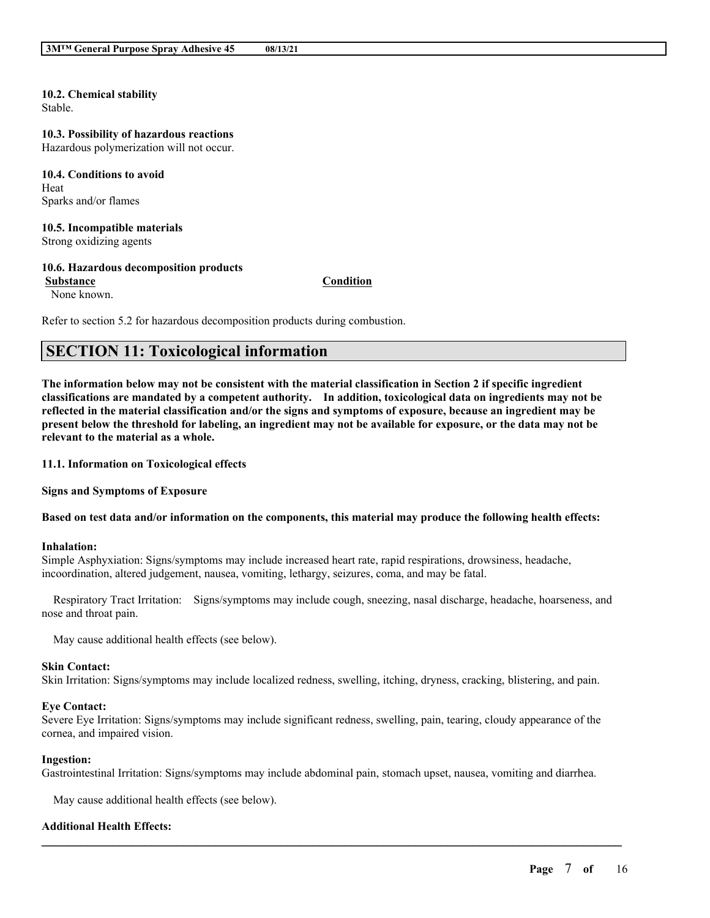#### **10.2. Chemical stability** Stable.

# **10.3. Possibility of hazardous reactions**

Hazardous polymerization will not occur.

### **10.4. Conditions to avoid** Heat Sparks and/or flames

### **10.5. Incompatible materials** Strong oxidizing agents

## **10.6. Hazardous decomposition products**

**Substance Condition**

None known.

Refer to section 5.2 for hazardous decomposition products during combustion.

# **SECTION 11: Toxicological information**

The information below may not be consistent with the material classification in Section 2 if specific ingredient **classifications are mandated by a competent authority. In addition, toxicological data on ingredients may not be** reflected in the material classification and/or the signs and symptoms of exposure, because an ingredient may be present below the threshold for labeling, an ingredient may not be available for exposure, or the data may not be **relevant to the material as a whole.**

**11.1. Information on Toxicological effects**

**Signs and Symptoms of Exposure**

### Based on test data and/or information on the components, this material may produce the following health effects:

### **Inhalation:**

Simple Asphyxiation: Signs/symptoms may include increased heart rate, rapid respirations, drowsiness, headache, incoordination, altered judgement, nausea, vomiting, lethargy, seizures, coma, and may be fatal.

Respiratory Tract Irritation: Signs/symptoms may include cough, sneezing, nasal discharge, headache, hoarseness, and nose and throat pain.

May cause additional health effects (see below).

### **Skin Contact:**

Skin Irritation: Signs/symptoms may include localized redness, swelling, itching, dryness, cracking, blistering, and pain.

### **Eye Contact:**

Severe Eye Irritation: Signs/symptoms may include significant redness, swelling, pain, tearing, cloudy appearance of the cornea, and impaired vision.

### **Ingestion:**

Gastrointestinal Irritation: Signs/symptoms may include abdominal pain, stomach upset, nausea, vomiting and diarrhea.

 $\mathcal{L}_\mathcal{L} = \mathcal{L}_\mathcal{L} = \mathcal{L}_\mathcal{L} = \mathcal{L}_\mathcal{L} = \mathcal{L}_\mathcal{L} = \mathcal{L}_\mathcal{L} = \mathcal{L}_\mathcal{L} = \mathcal{L}_\mathcal{L} = \mathcal{L}_\mathcal{L} = \mathcal{L}_\mathcal{L} = \mathcal{L}_\mathcal{L} = \mathcal{L}_\mathcal{L} = \mathcal{L}_\mathcal{L} = \mathcal{L}_\mathcal{L} = \mathcal{L}_\mathcal{L} = \mathcal{L}_\mathcal{L} = \mathcal{L}_\mathcal{L}$ 

May cause additional health effects (see below).

## **Additional Health Effects:**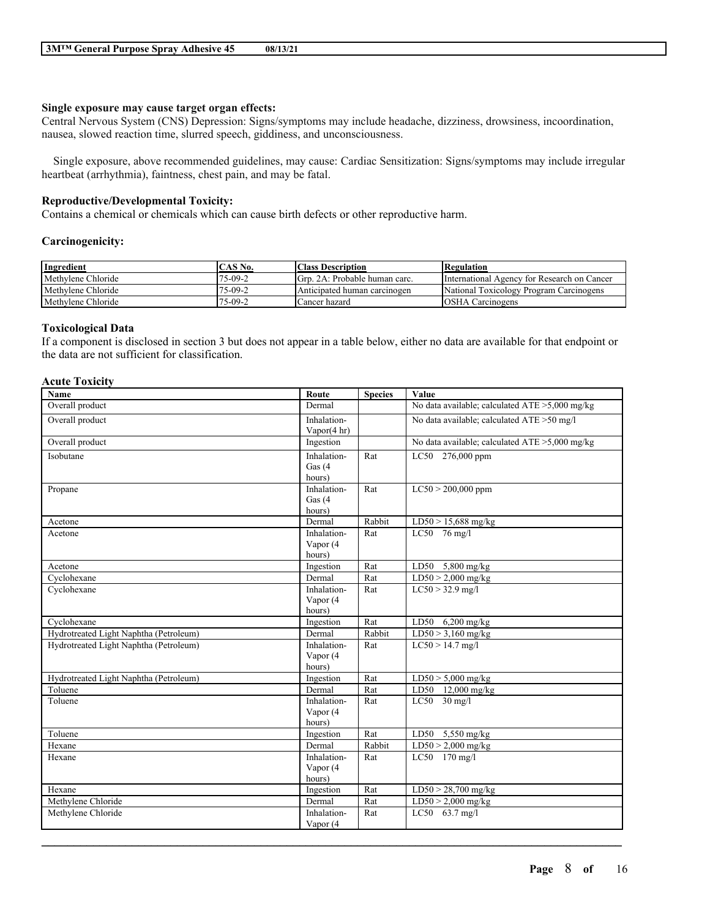### **Single exposure may cause target organ effects:**

Central Nervous System (CNS) Depression: Signs/symptoms may include headache, dizziness, drowsiness, incoordination, nausea, slowed reaction time, slurred speech, giddiness, and unconsciousness.

Single exposure, above recommended guidelines, may cause: Cardiac Sensitization: Signs/symptoms may include irregular heartbeat (arrhythmia), faintness, chest pain, and may be fatal.

### **Reproductive/Developmental Toxicity:**

Contains a chemical or chemicals which can cause birth defects or other reproductive harm.

#### **Carcinogenicity:**

| Ingredient         | CAS No. | <b>Class Description</b>      | <b>Regulation</b>                           |
|--------------------|---------|-------------------------------|---------------------------------------------|
| Methylene Chloride | 75-09-2 | Grp. 2A: Probable human carc. | International Agency for Research on Cancer |
| Methylene Chloride | 75-09-2 | Anticipated human carcinogen  | National Toxicology Program Carcinogens     |
| Methylene Chloride | 75-09-2 | Cancer hazard                 | <b>OSHA Carcinogens</b>                     |

### **Toxicological Data**

If a component is disclosed in section 3 but does not appear in a table below, either no data are available for that endpoint or the data are not sufficient for classification.

### **Acute Toxicity**

| <b>Name</b>                            | Route                   | <b>Species</b> | Value                                             |
|----------------------------------------|-------------------------|----------------|---------------------------------------------------|
| Overall product                        | Dermal                  |                | No data available; calculated ATE $>5,000$ mg/kg  |
| Overall product                        | Inhalation-             |                | No data available; calculated ATE > 50 mg/l       |
|                                        | Vapor $(4 \text{ hr})$  |                |                                                   |
| Overall product                        | Ingestion               |                | No data available; calculated $ATE > 5,000$ mg/kg |
| Isobutane                              | Inhalation-             | Rat            | LC50 276,000 ppm                                  |
|                                        | Gas $(4)$               |                |                                                   |
|                                        | hours)                  |                |                                                   |
| Propane                                | Inhalation-             | Rat            | $LC50 > 200,000$ ppm                              |
|                                        | Gas $(4)$               |                |                                                   |
|                                        | hours)                  |                |                                                   |
| Acetone                                | Dermal                  | Rabbit         | $LD50 > 15,688$ mg/kg                             |
| Acetone                                | Inhalation-             | Rat            | $LC50$ 76 mg/l                                    |
|                                        | Vapor (4                |                |                                                   |
|                                        | hours)                  |                |                                                   |
| Acetone                                | Ingestion               | Rat            | LD50 $5,800$ mg/kg                                |
| Cyclohexane                            | Dermal                  | Rat            | $LD50 > 2,000$ mg/kg                              |
| Cyclohexane                            | Inhalation-             | Rat            | $LC50 > 32.9$ mg/l                                |
|                                        | Vapor (4                |                |                                                   |
|                                        | hours)                  |                |                                                   |
| Cyclohexane                            | Ingestion               | Rat            | $LD50$ 6,200 mg/kg                                |
| Hydrotreated Light Naphtha (Petroleum) | Dermal                  | Rabbit         | $LD50 > 3,160$ mg/kg                              |
| Hydrotreated Light Naphtha (Petroleum) | Inhalation-<br>Vapor (4 | Rat            | $LC50 > 14.7$ mg/l                                |
|                                        | hours)                  |                |                                                   |
| Hydrotreated Light Naphtha (Petroleum) | Ingestion               | Rat            | $LD50 > 5,000$ mg/kg                              |
| Toluene                                | Dermal                  | Rat            | LD50 12,000 mg/kg                                 |
| Toluene                                | Inhalation-             | Rat            | $LC50$ 30 mg/l                                    |
|                                        | Vapor (4                |                |                                                   |
|                                        | hours)                  |                |                                                   |
| Toluene                                | Ingestion               | Rat            | LD50 5,550 mg/kg                                  |
| Hexane                                 | Dermal                  | Rabbit         | $LD50 > 2,000$ mg/kg                              |
| Hexane                                 | Inhalation-             | Rat            | LC50 170 mg/l                                     |
|                                        | Vapor (4                |                |                                                   |
|                                        | hours)                  |                |                                                   |
| Hexane                                 | Ingestion               | Rat            | $LD50 > 28,700$ mg/kg                             |
| Methylene Chloride                     | Dermal                  | Rat            | $LD50 > 2,000$ mg/kg                              |
| Methylene Chloride                     | Inhalation-             | Rat            | LC50 63.7 mg/l                                    |
|                                        | Vapor (4                |                |                                                   |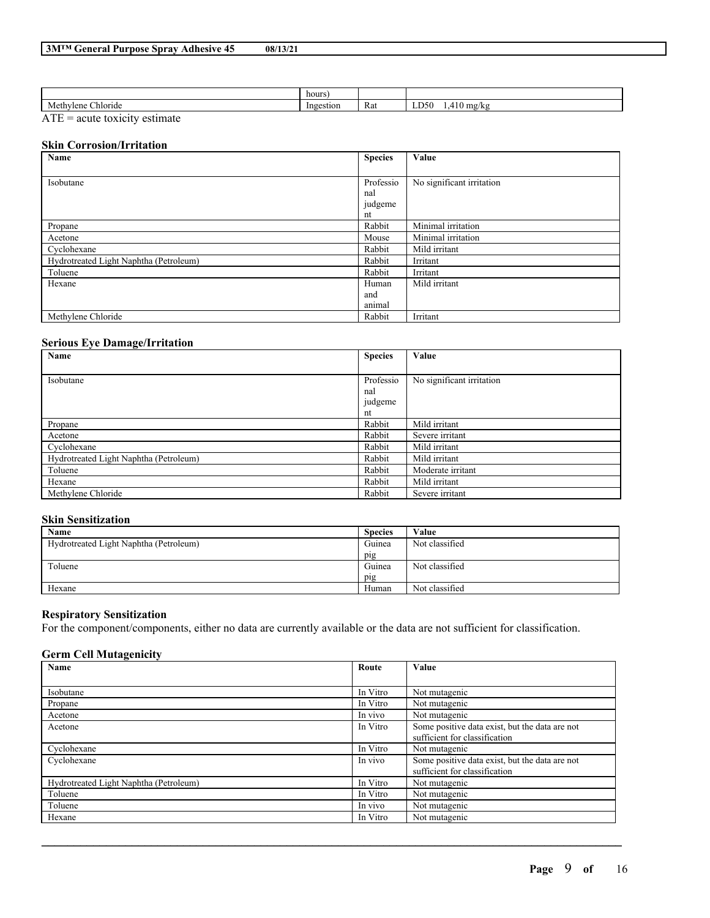|                           | hours      |     |                                             |
|---------------------------|------------|-----|---------------------------------------------|
| Methy<br>vlene<br>hloride | 'no<br>וחז | Rat | . ורי<br>$\cdot$ ne $\cdot$<br>$\mathbf{u}$ |

 $ATE = acute$  toxicity estimate

### **Skin Corrosion/Irritation**

| Name                                   | <b>Species</b> | Value                     |
|----------------------------------------|----------------|---------------------------|
|                                        |                |                           |
| Isobutane                              | Professio      | No significant irritation |
|                                        | nal            |                           |
|                                        | judgeme        |                           |
|                                        | nt             |                           |
| Propane                                | Rabbit         | Minimal irritation        |
| Acetone                                | Mouse          | Minimal irritation        |
| Cyclohexane                            | Rabbit         | Mild irritant             |
| Hydrotreated Light Naphtha (Petroleum) | Rabbit         | Irritant                  |
| Toluene                                | Rabbit         | Irritant                  |
| Hexane                                 | Human          | Mild irritant             |
|                                        | and            |                           |
|                                        | animal         |                           |
| Methylene Chloride                     | Rabbit         | Irritant                  |

### **Serious Eye Damage/Irritation**

| Name                                   | <b>Species</b> | Value                     |
|----------------------------------------|----------------|---------------------------|
|                                        |                |                           |
| Isobutane                              | Professio      | No significant irritation |
|                                        | nal            |                           |
|                                        | judgeme        |                           |
|                                        | nt             |                           |
| Propane                                | Rabbit         | Mild irritant             |
| Acetone                                | Rabbit         | Severe irritant           |
| Cyclohexane                            | Rabbit         | Mild irritant             |
| Hydrotreated Light Naphtha (Petroleum) | Rabbit         | Mild irritant             |
| Toluene                                | Rabbit         | Moderate irritant         |
| Hexane                                 | Rabbit         | Mild irritant             |
| Methylene Chloride                     | Rabbit         | Severe irritant           |

## **Skin Sensitization**

| Name                                   | <b>Species</b> | Value          |
|----------------------------------------|----------------|----------------|
| Hydrotreated Light Naphtha (Petroleum) | Guinea         | Not classified |
|                                        | pig            |                |
| Toluene                                | Guinea         | Not classified |
|                                        | pig            |                |
| Hexane                                 | Human          | Not classified |

## **Respiratory Sensitization**

For the component/components, either no data are currently available or the data are not sufficient for classification.

### **Germ Cell Mutagenicity**

| Name                                   | Route    | <b>Value</b>                                   |
|----------------------------------------|----------|------------------------------------------------|
|                                        |          |                                                |
| Isobutane                              | In Vitro | Not mutagenic                                  |
| Propane                                | In Vitro | Not mutagenic                                  |
| Acetone                                | In vivo  | Not mutagenic                                  |
| Acetone                                | In Vitro | Some positive data exist, but the data are not |
|                                        |          | sufficient for classification                  |
| Cyclohexane                            | In Vitro | Not mutagenic                                  |
| Cyclohexane                            | In vivo  | Some positive data exist, but the data are not |
|                                        |          | sufficient for classification                  |
| Hydrotreated Light Naphtha (Petroleum) | In Vitro | Not mutagenic                                  |
| Toluene                                | In Vitro | Not mutagenic                                  |
| Toluene                                | In vivo  | Not mutagenic                                  |
| Hexane                                 | In Vitro | Not mutagenic                                  |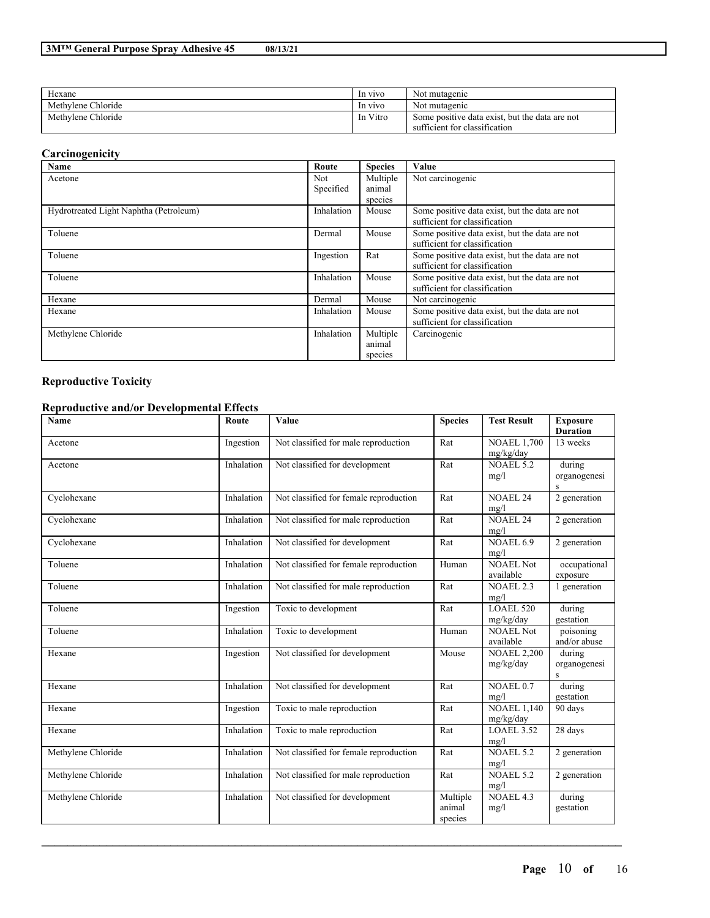| Hexane             | In vivo  | Not mutagenic                                  |
|--------------------|----------|------------------------------------------------|
| Methylene Chloride | In vivo  | Not mutagenic                                  |
| Methylene Chloride | In Vitro | Some positive data exist, but the data are not |
|                    |          | sufficient for classification                  |

## **Carcinogenicity**

| Name                                   | Route      | <b>Species</b> | Value                                                                           |
|----------------------------------------|------------|----------------|---------------------------------------------------------------------------------|
| Acetone                                | <b>Not</b> | Multiple       | Not carcinogenic                                                                |
|                                        | Specified  | animal         |                                                                                 |
|                                        |            | species        |                                                                                 |
| Hydrotreated Light Naphtha (Petroleum) | Inhalation | Mouse          | Some positive data exist, but the data are not<br>sufficient for classification |
| Toluene                                | Dermal     | Mouse          | Some positive data exist, but the data are not<br>sufficient for classification |
| Toluene                                | Ingestion  | Rat            | Some positive data exist, but the data are not<br>sufficient for classification |
| Toluene                                | Inhalation | Mouse          | Some positive data exist, but the data are not<br>sufficient for classification |
| Hexane                                 | Dermal     | Mouse          | Not carcinogenic                                                                |
| Hexane                                 | Inhalation | Mouse          | Some positive data exist, but the data are not                                  |
|                                        |            |                | sufficient for classification                                                   |
| Methylene Chloride                     | Inhalation | Multiple       | Carcinogenic                                                                    |
|                                        |            | animal         |                                                                                 |
|                                        |            | species        |                                                                                 |

## **Reproductive Toxicity**

## **Reproductive and/or Developmental Effects**

| <b>Name</b>        | Route      | Value                                  | <b>Species</b>                | <b>Test Result</b>                           | <b>Exposure</b><br><b>Duration</b> |
|--------------------|------------|----------------------------------------|-------------------------------|----------------------------------------------|------------------------------------|
| Acetone            | Ingestion  | Not classified for male reproduction   | Rat                           | <b>NOAEL 1,700</b><br>mg/kg/day              | 13 weeks                           |
| Acetone            | Inhalation | Not classified for development         | Rat                           | <b>NOAEL 5.2</b><br>mg/l                     | during<br>organogenesi<br>$\,$ S   |
| Cyclohexane        | Inhalation | Not classified for female reproduction | Rat                           | <b>NOAEL 24</b><br>mg/l                      | 2 generation                       |
| Cyclohexane        | Inhalation | Not classified for male reproduction   | Rat                           | <b>NOAEL 24</b><br>mg/l                      | 2 generation                       |
| Cyclohexane        | Inhalation | Not classified for development         | Rat                           | NOAEL 6.9<br>mg/l                            | 2 generation                       |
| Toluene            | Inhalation | Not classified for female reproduction | Human                         | <b>NOAEL Not</b><br>available                | occupational<br>exposure           |
| Toluene            | Inhalation | Not classified for male reproduction   | Rat                           | <b>NOAEL 2.3</b><br>mg/l                     | 1 generation                       |
| Toluene            | Ingestion  | Toxic to development                   | Rat                           | <b>LOAEL 520</b><br>mg/kg/day                | during<br>gestation                |
| Toluene            | Inhalation | Toxic to development                   | Human                         | <b>NOAEL Not</b><br>available                | poisoning<br>and/or abuse          |
| Hexane             | Ingestion  | Not classified for development         | Mouse                         | <b>NOAEL 2,200</b><br>mg/kg/day              | during<br>organogenesi<br>S        |
| Hexane             | Inhalation | Not classified for development         | Rat                           | NOAEL 0.7<br>mg/l                            | during<br>gestation                |
| Hexane             | Ingestion  | Toxic to male reproduction             | Rat                           | $\overline{\text{NOAEL}}$ 1,140<br>mg/kg/day | 90 days                            |
| Hexane             | Inhalation | Toxic to male reproduction             | Rat                           | LOAEL 3.52<br>mg/l                           | 28 days                            |
| Methylene Chloride | Inhalation | Not classified for female reproduction | Rat                           | <b>NOAEL 5.2</b><br>mg/l                     | 2 generation                       |
| Methylene Chloride | Inhalation | Not classified for male reproduction   | Rat                           | <b>NOAEL 5.2</b><br>mg/l                     | 2 generation                       |
| Methylene Chloride | Inhalation | Not classified for development         | Multiple<br>animal<br>species | <b>NOAEL 4.3</b><br>mg/l                     | during<br>gestation                |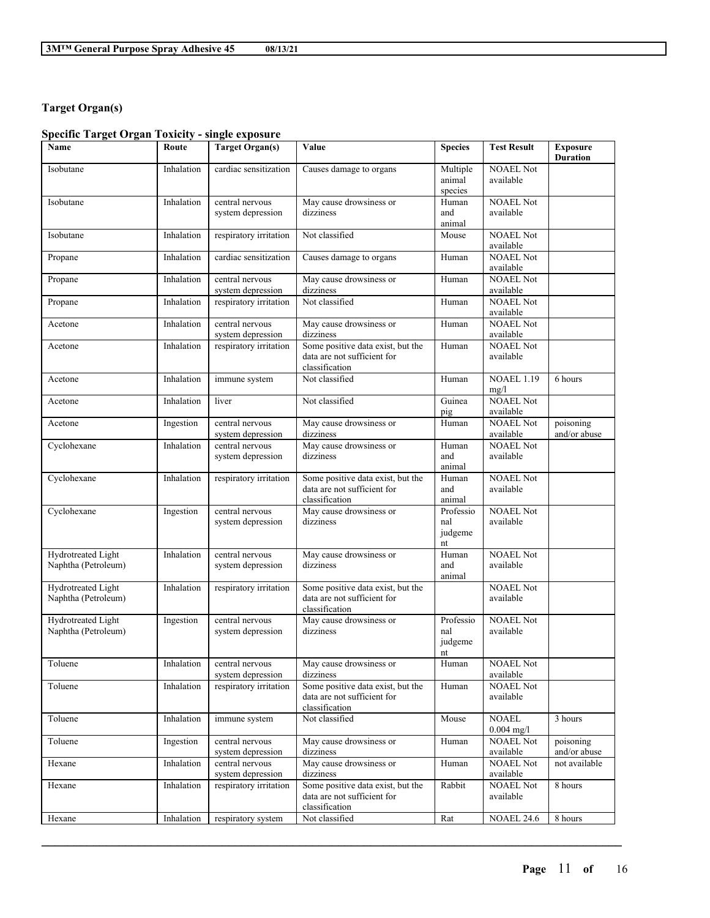# **Target Organ(s)**

# **Specific Target Organ Toxicity - single exposure**

| <b>Name</b>                               | Route      | <b>Target Organ(s)</b>               | Value                                                                              | <b>Species</b>                    | <b>Test Result</b>            | <b>Exposure</b><br><b>Duration</b> |
|-------------------------------------------|------------|--------------------------------------|------------------------------------------------------------------------------------|-----------------------------------|-------------------------------|------------------------------------|
| Isobutane                                 | Inhalation | cardiac sensitization                | Causes damage to organs                                                            | Multiple<br>animal<br>species     | <b>NOAEL Not</b><br>available |                                    |
| Isobutane                                 | Inhalation | central nervous<br>system depression | May cause drowsiness or<br>dizziness                                               | Human<br>and<br>animal            | <b>NOAEL Not</b><br>available |                                    |
| Isobutane                                 | Inhalation | respiratory irritation               | Not classified                                                                     | Mouse                             | <b>NOAEL Not</b><br>available |                                    |
| Propane                                   | Inhalation | cardiac sensitization                | Causes damage to organs                                                            | Human                             | <b>NOAEL Not</b><br>available |                                    |
| Propane                                   | Inhalation | central nervous<br>system depression | May cause drowsiness or<br>dizziness                                               | Human                             | <b>NOAEL Not</b><br>available |                                    |
| Propane                                   | Inhalation | respiratory irritation               | Not classified                                                                     | Human                             | <b>NOAEL Not</b><br>available |                                    |
| Acetone                                   | Inhalation | central nervous<br>system depression | May cause drowsiness or<br>dizziness                                               | Human                             | <b>NOAEL Not</b><br>available |                                    |
| Acetone                                   | Inhalation | respiratory irritation               | Some positive data exist, but the<br>data are not sufficient for<br>classification | Human                             | <b>NOAEL Not</b><br>available |                                    |
| Acetone                                   | Inhalation | immune system                        | Not classified                                                                     | Human                             | <b>NOAEL 1.19</b><br>mg/l     | 6 hours                            |
| Acetone                                   | Inhalation | liver                                | Not classified                                                                     | Guinea<br>pig                     | <b>NOAEL Not</b><br>available |                                    |
| Acetone                                   | Ingestion  | central nervous<br>system depression | May cause drowsiness or<br>dizziness                                               | Human                             | <b>NOAEL Not</b><br>available | poisoning<br>and/or abuse          |
| Cyclohexane                               | Inhalation | central nervous<br>system depression | May cause drowsiness or<br>dizziness                                               | Human<br>and<br>animal            | <b>NOAEL Not</b><br>available |                                    |
| Cyclohexane                               | Inhalation | respiratory irritation               | Some positive data exist, but the<br>data are not sufficient for<br>classification | Human<br>and<br>animal            | <b>NOAEL Not</b><br>available |                                    |
| Cyclohexane                               | Ingestion  | central nervous<br>system depression | May cause drowsiness or<br>dizziness                                               | Professio<br>nal<br>judgeme<br>nt | <b>NOAEL Not</b><br>available |                                    |
| Hydrotreated Light<br>Naphtha (Petroleum) | Inhalation | central nervous<br>system depression | May cause drowsiness or<br>dizziness                                               | Human<br>and<br>animal            | <b>NOAEL Not</b><br>available |                                    |
| Hydrotreated Light<br>Naphtha (Petroleum) | Inhalation | respiratory irritation               | Some positive data exist, but the<br>data are not sufficient for<br>classification |                                   | <b>NOAEL Not</b><br>available |                                    |
| Hydrotreated Light<br>Naphtha (Petroleum) | Ingestion  | central nervous<br>system depression | May cause drowsiness or<br>dizziness                                               | Professio<br>nal<br>judgeme<br>nt | <b>NOAEL Not</b><br>available |                                    |
| Toluene                                   | Inhalation | central nervous<br>system depression | May cause drowsiness or<br>dizziness                                               | Human                             | <b>NOAEL Not</b><br>available |                                    |
| Toluene                                   | Inhalation | respiratory irritation               | Some positive data exist, but the<br>data are not sufficient for<br>classification | Human                             | <b>NOAEL Not</b><br>available |                                    |
| Toluene                                   | Inhalation | immune system                        | Not classified                                                                     | Mouse                             | <b>NOAEL</b><br>$0.004$ mg/l  | 3 hours                            |
| Toluene                                   | Ingestion  | central nervous<br>system depression | May cause drowsiness or<br>dizziness                                               | Human                             | <b>NOAEL Not</b><br>available | poisoning<br>and/or abuse          |
| Hexane                                    | Inhalation | central nervous<br>system depression | May cause drowsiness or<br>dizziness                                               | Human                             | <b>NOAEL Not</b><br>available | not available                      |
| Hexane                                    | Inhalation | respiratory irritation               | Some positive data exist, but the<br>data are not sufficient for<br>classification | Rabbit                            | <b>NOAEL</b> Not<br>available | 8 hours                            |
| Hexane                                    | Inhalation | respiratory system                   | Not classified                                                                     | Rat                               | <b>NOAEL 24.6</b>             | 8 hours                            |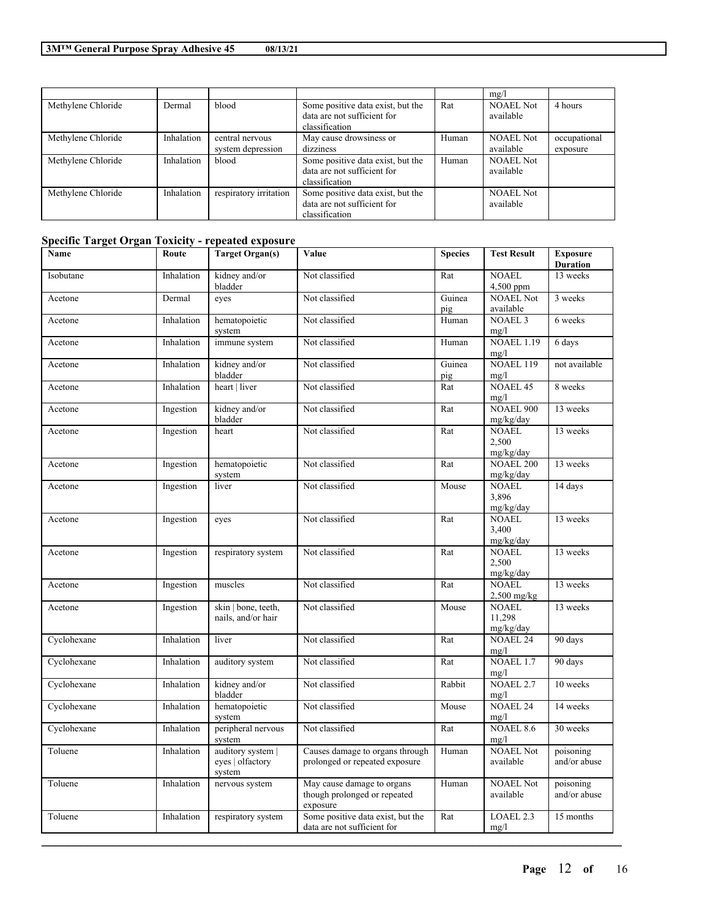|                    |            |                                      |                                                                                    |       | mg/l                          |                          |
|--------------------|------------|--------------------------------------|------------------------------------------------------------------------------------|-------|-------------------------------|--------------------------|
| Methylene Chloride | Dermal     | blood                                | Some positive data exist, but the<br>data are not sufficient for<br>classification | Rat   | <b>NOAEL Not</b><br>available | 4 hours                  |
| Methylene Chloride | Inhalation | central nervous<br>system depression | May cause drowsiness or<br>dizziness                                               | Human | <b>NOAEL Not</b><br>available | occupational<br>exposure |
| Methylene Chloride | Inhalation | blood                                | Some positive data exist, but the<br>data are not sufficient for<br>classification | Human | <b>NOAEL Not</b><br>available |                          |
| Methylene Chloride | Inhalation | respiratory irritation               | Some positive data exist, but the<br>data are not sufficient for<br>classification |       | <b>NOAEL Not</b><br>available |                          |

# **Specific Target Organ Toxicity - repeated exposure**

| Name        | Route      | <b>Target Organ(s)</b>                          | Value                                                                  | <b>Species</b> | <b>Test Result</b>                  | <b>Exposure</b><br><b>Duration</b> |
|-------------|------------|-------------------------------------------------|------------------------------------------------------------------------|----------------|-------------------------------------|------------------------------------|
| Isobutane   | Inhalation | kidney and/or<br>bladder                        | Not classified                                                         | Rat            | <b>NOAEL</b><br>4,500 ppm           | 13 weeks                           |
| Acetone     | Dermal     | eyes                                            | Not classified                                                         | Guinea<br>pig  | <b>NOAEL Not</b><br>available       | 3 weeks                            |
| Acetone     | Inhalation | hematopoietic<br>system                         | Not classified                                                         | Human          | <b>NOAEL 3</b><br>mg/l              | 6 weeks                            |
| Acetone     | Inhalation | immune system                                   | Not classified                                                         | Human          | <b>NOAEL 1.19</b><br>mg/l           | 6 days                             |
| Acetone     | Inhalation | kidney and/or<br>bladder                        | Not classified                                                         | Guinea<br>pig  | <b>NOAEL 119</b><br>mg/l            | not available                      |
| Acetone     | Inhalation | heart   liver                                   | Not classified                                                         | Rat            | <b>NOAEL 45</b><br>mg/l             | 8 weeks                            |
| Acetone     | Ingestion  | kidney and/or<br>bladder                        | Not classified                                                         | Rat            | <b>NOAEL 900</b><br>mg/kg/day       | 13 weeks                           |
| Acetone     | Ingestion  | heart                                           | Not classified                                                         | Rat            | <b>NOAEL</b><br>2,500<br>mg/kg/day  | 13 weeks                           |
| Acetone     | Ingestion  | hematopoietic<br>system                         | Not classified                                                         | Rat            | <b>NOAEL 200</b><br>mg/kg/day       | 13 weeks                           |
| Acetone     | Ingestion  | liver                                           | Not classified                                                         | Mouse          | <b>NOAEL</b><br>3,896<br>mg/kg/day  | 14 days                            |
| Acetone     | Ingestion  | eyes                                            | Not classified                                                         | Rat            | <b>NOAEL</b><br>3,400<br>mg/kg/day  | 13 weeks                           |
| Acetone     | Ingestion  | respiratory system                              | Not classified                                                         | Rat            | <b>NOAEL</b><br>2,500<br>mg/kg/day  | 13 weeks                           |
| Acetone     | Ingestion  | muscles                                         | Not classified                                                         | Rat            | <b>NOAEL</b><br>$2,500$ mg/kg       | 13 weeks                           |
| Acetone     | Ingestion  | skin   bone, teeth,<br>nails, and/or hair       | Not classified                                                         | Mouse          | <b>NOAEL</b><br>11,298<br>mg/kg/day | 13 weeks                           |
| Cyclohexane | Inhalation | liver                                           | Not classified                                                         | Rat            | <b>NOAEL 24</b><br>mg/l             | 90 days                            |
| Cyclohexane | Inhalation | auditory system                                 | Not classified                                                         | Rat            | <b>NOAEL 1.7</b><br>mg/l            | 90 days                            |
| Cyclohexane | Inhalation | kidney and/or<br>bladder                        | Not classified                                                         | Rabbit         | <b>NOAEL 2.7</b><br>mg/l            | 10 weeks                           |
| Cyclohexane | Inhalation | hematopoietic<br>system                         | Not classified                                                         | Mouse          | <b>NOAEL 24</b><br>mg/l             | 14 weeks                           |
| Cyclohexane | Inhalation | peripheral nervous<br>system                    | Not classified                                                         | Rat            | <b>NOAEL 8.6</b><br>mg/l            | 30 weeks                           |
| Toluene     | Inhalation | auditory system  <br>eyes   olfactory<br>system | Causes damage to organs through<br>prolonged or repeated exposure      | Human          | <b>NOAEL Not</b><br>available       | poisoning<br>and/or abuse          |
| Toluene     | Inhalation | nervous system                                  | May cause damage to organs<br>though prolonged or repeated<br>exposure | Human          | <b>NOAEL Not</b><br>available       | poisoning<br>and/or abuse          |
| Toluene     | Inhalation | respiratory system                              | Some positive data exist, but the<br>data are not sufficient for       | Rat            | LOAEL 2.3<br>mg/l                   | 15 months                          |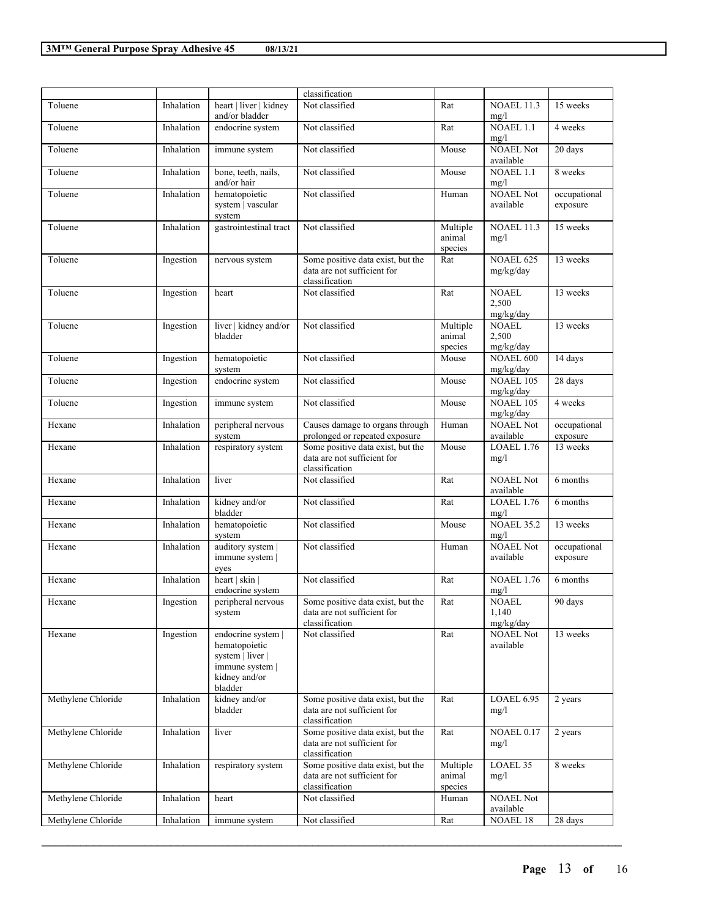|                    |            |                                                                                                        | classification                                                                     |                               |                                    |                          |
|--------------------|------------|--------------------------------------------------------------------------------------------------------|------------------------------------------------------------------------------------|-------------------------------|------------------------------------|--------------------------|
| Toluene            | Inhalation | heart   liver   kidney<br>and/or bladder                                                               | Not classified                                                                     | Rat                           | <b>NOAEL 11.3</b><br>mg/l          | 15 weeks                 |
| Toluene            | Inhalation | endocrine system                                                                                       | Not classified                                                                     | Rat                           | NOAEL 1.1<br>mg/l                  | 4 weeks                  |
| Toluene            | Inhalation | immune system                                                                                          | Not classified                                                                     | Mouse                         | <b>NOAEL Not</b><br>available      | 20 days                  |
| Toluene            | Inhalation | bone, teeth, nails,<br>and/or hair                                                                     | Not classified                                                                     | Mouse                         | $NOAEL$ 1.1<br>mg/l                | 8 weeks                  |
| Toluene            | Inhalation | hematopoietic<br>system   vascular<br>system                                                           | Not classified                                                                     | Human                         | <b>NOAEL Not</b><br>available      | occupational<br>exposure |
| Toluene            | Inhalation | gastrointestinal tract                                                                                 | Not classified                                                                     | Multiple<br>animal<br>species | <b>NOAEL 11.3</b><br>mg/l          | 15 weeks                 |
| Toluene            | Ingestion  | nervous system                                                                                         | Some positive data exist, but the<br>data are not sufficient for<br>classification | Rat                           | <b>NOAEL 625</b><br>mg/kg/day      | 13 weeks                 |
| Toluene            | Ingestion  | heart                                                                                                  | Not classified                                                                     | Rat                           | <b>NOAEL</b><br>2,500<br>mg/kg/day | 13 weeks                 |
| Toluene            | Ingestion  | liver   kidney and/or<br>bladder                                                                       | Not classified                                                                     | Multiple<br>animal<br>species | <b>NOAEL</b><br>2,500<br>mg/kg/day | 13 weeks                 |
| Toluene            | Ingestion  | hematopoietic<br>system                                                                                | Not classified                                                                     | Mouse                         | <b>NOAEL 600</b><br>mg/kg/day      | 14 days                  |
| Toluene            | Ingestion  | endocrine system                                                                                       | Not classified                                                                     | Mouse                         | <b>NOAEL 105</b><br>mg/kg/day      | 28 days                  |
| Toluene            | Ingestion  | immune system                                                                                          | Not classified                                                                     | Mouse                         | <b>NOAEL 105</b><br>mg/kg/day      | 4 weeks                  |
| Hexane             | Inhalation | peripheral nervous<br>system                                                                           | Causes damage to organs through<br>prolonged or repeated exposure                  | Human                         | <b>NOAEL Not</b><br>available      | occupational<br>exposure |
| Hexane             | Inhalation | respiratory system                                                                                     | Some positive data exist, but the<br>data are not sufficient for<br>classification | Mouse                         | <b>LOAEL 1.76</b><br>mg/l          | 13 weeks                 |
| Hexane             | Inhalation | liver                                                                                                  | Not classified                                                                     | Rat                           | <b>NOAEL Not</b><br>available      | 6 months                 |
| Hexane             | Inhalation | kidney and/or<br>bladder                                                                               | Not classified                                                                     | Rat                           | LOAEL 1.76<br>mg/l                 | 6 months                 |
| Hexane             | Inhalation | hematopoietic<br>system                                                                                | Not classified                                                                     | Mouse                         | <b>NOAEL 35.2</b><br>mg/l          | 13 weeks                 |
| Hexane             | Inhalation | auditory system  <br>immune system  <br>eyes                                                           | Not classified                                                                     | Human                         | <b>NOAEL Not</b><br>available      | occupational<br>exposure |
| Hexane             | Inhalation | heart   skin  <br>endocrine system                                                                     | Not classified                                                                     | Rat                           | <b>NOAEL 1.76</b><br>mg/l          | 6 months                 |
| Hexane             | Ingestion  | peripheral nervous<br>system                                                                           | Some positive data exist, but the<br>data are not sufficient for<br>classification | Rat                           | <b>NOAEL</b><br>1,140<br>mg/kg/day | $90 \text{ days}$        |
| Hexane             | Ingestion  | endocrine system  <br>hematopoietic<br>system   liver  <br>immune system  <br>kidney and/or<br>bladder | Not classified                                                                     | Rat                           | <b>NOAEL Not</b><br>available      | 13 weeks                 |
| Methylene Chloride | Inhalation | kidney and/or<br>bladder                                                                               | Some positive data exist, but the<br>data are not sufficient for<br>classification | Rat                           | <b>LOAEL 6.95</b><br>mg/l          | 2 years                  |
| Methylene Chloride | Inhalation | liver                                                                                                  | Some positive data exist, but the<br>data are not sufficient for<br>classification | Rat                           | <b>NOAEL 0.17</b><br>mg/l          | 2 years                  |
| Methylene Chloride | Inhalation | respiratory system                                                                                     | Some positive data exist, but the<br>data are not sufficient for<br>classification | Multiple<br>animal<br>species | LOAEL 35<br>mg/l                   | 8 weeks                  |
| Methylene Chloride | Inhalation | heart                                                                                                  | Not classified                                                                     | Human                         | <b>NOAEL Not</b><br>available      |                          |
| Methylene Chloride | Inhalation | immune system                                                                                          | Not classified                                                                     | Rat                           | <b>NOAEL 18</b>                    | 28 days                  |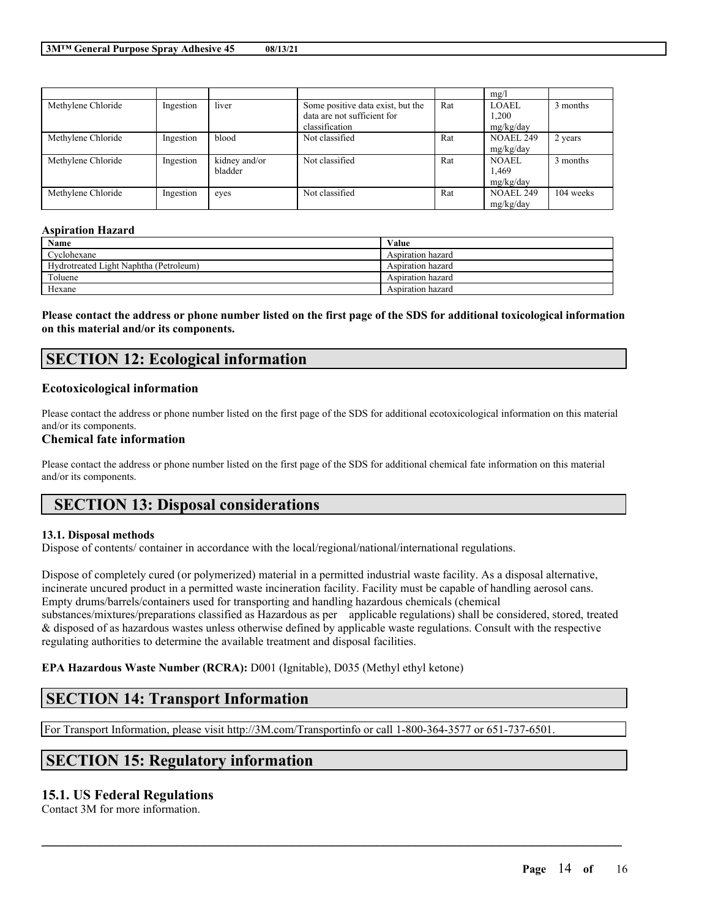|                    |           |               |                                   |     | mg/l             |           |
|--------------------|-----------|---------------|-----------------------------------|-----|------------------|-----------|
| Methylene Chloride | Ingestion | liver         | Some positive data exist, but the | Rat | LOAEL            | 3 months  |
|                    |           |               | data are not sufficient for       |     | 1.200            |           |
|                    |           |               | classification                    |     | mg/kg/day        |           |
| Methylene Chloride | Ingestion | blood         | Not classified                    | Rat | <b>NOAEL 249</b> | 2 years   |
|                    |           |               |                                   |     | mg/kg/day        |           |
| Methylene Chloride | Ingestion | kidney and/or | Not classified                    | Rat | <b>NOAEL</b>     | 3 months  |
|                    |           | bladder       |                                   |     | 1,469            |           |
|                    |           |               |                                   |     | mg/kg/day        |           |
| Methylene Chloride | Ingestion | eves          | Not classified                    | Rat | <b>NOAEL 249</b> | 104 weeks |
|                    |           |               |                                   |     | mg/kg/day        |           |

### **Aspiration Hazard**

| Name                                   | Value             |
|----------------------------------------|-------------------|
| Cyclohexane                            | Aspiration hazard |
| Hydrotreated Light Naphtha (Petroleum) | Aspiration hazard |
| Toluene                                | Aspiration hazard |
| Hexane                                 | Aspiration hazard |

Please contact the address or phone number listed on the first page of the SDS for additional toxicological information **on this material and/or its components.**

# **SECTION 12: Ecological information**

## **Ecotoxicological information**

Please contact the address or phone number listed on the first page of the SDS for additional ecotoxicological information on this material and/or its components.

### **Chemical fate information**

Please contact the address or phone number listed on the first page of the SDS for additional chemical fate information on this material and/or its components.

# **SECTION 13: Disposal considerations**

## **13.1. Disposal methods**

Dispose of contents/ container in accordance with the local/regional/national/international regulations.

Dispose of completely cured (or polymerized) material in a permitted industrial waste facility. As a disposal alternative, incinerate uncured product in a permitted waste incineration facility. Facility must be capable of handling aerosol cans. Empty drums/barrels/containers used for transporting and handling hazardous chemicals (chemical substances/mixtures/preparations classified as Hazardous as per applicable regulations) shall be considered, stored, treated & disposed of as hazardous wastes unless otherwise defined by applicable waste regulations. Consult with the respective regulating authorities to determine the available treatment and disposal facilities.

 $\mathcal{L}_\mathcal{L} = \mathcal{L}_\mathcal{L} = \mathcal{L}_\mathcal{L} = \mathcal{L}_\mathcal{L} = \mathcal{L}_\mathcal{L} = \mathcal{L}_\mathcal{L} = \mathcal{L}_\mathcal{L} = \mathcal{L}_\mathcal{L} = \mathcal{L}_\mathcal{L} = \mathcal{L}_\mathcal{L} = \mathcal{L}_\mathcal{L} = \mathcal{L}_\mathcal{L} = \mathcal{L}_\mathcal{L} = \mathcal{L}_\mathcal{L} = \mathcal{L}_\mathcal{L} = \mathcal{L}_\mathcal{L} = \mathcal{L}_\mathcal{L}$ 

**EPA Hazardous Waste Number (RCRA):** D001 (Ignitable), D035 (Methyl ethyl ketone)

# **SECTION 14: Transport Information**

For Transport Information, please visit http://3M.com/Transportinfo or call 1-800-364-3577 or 651-737-6501.

# **SECTION 15: Regulatory information**

## **15.1. US Federal Regulations**

Contact 3M for more information.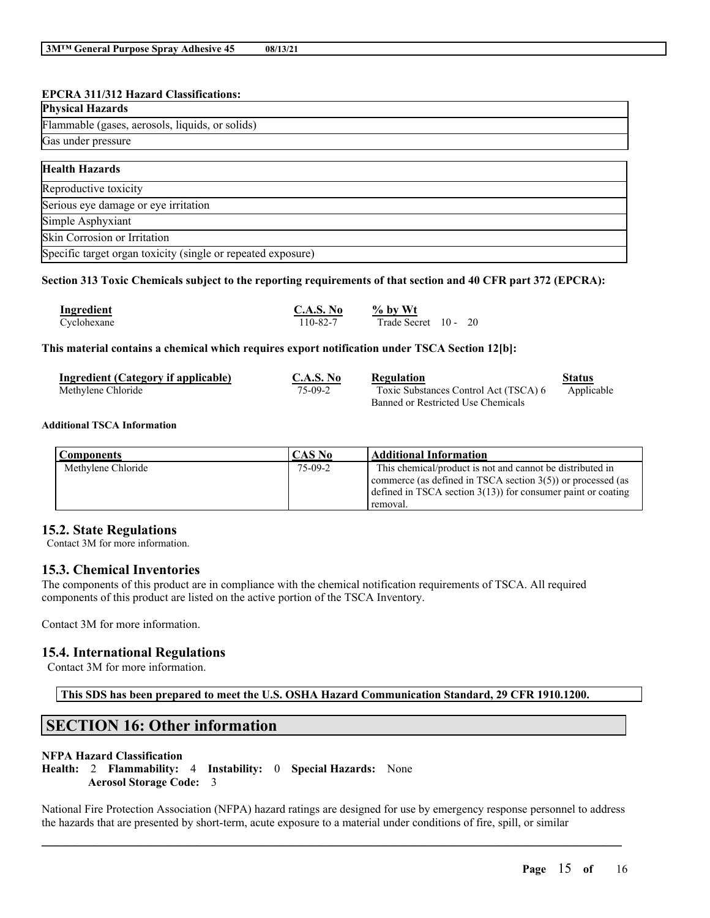## **EPCRA 311/312 Hazard Classifications:**

| <b>Physical Hazards</b>                                      |
|--------------------------------------------------------------|
| Flammable (gases, aerosols, liquids, or solids)              |
| Gas under pressure                                           |
|                                                              |
| <b>Health Hazards</b>                                        |
| Reproductive toxicity                                        |
| Serious eye damage or eye irritation                         |
| Simple Asphyxiant                                            |
| Skin Corrosion or Irritation                                 |
| Specific target organ toxicity (single or repeated exposure) |

## Section 313 Toxic Chemicals subject to the reporting requirements of that section and 40 CFR part 372 (EPCRA):

| Ingredient  | C.A.S. No | $%$ by Wt         |  |  |
|-------------|-----------|-------------------|--|--|
| Cyclohexane | 110-82-7  | Trade Secret 10 - |  |  |

### **This material contains a chemical which requires export notification under TSCA Section 12[b]:**

| Ingredient (Category if applicable) | <b>C.A.S. No</b>                   | <b>Regulation</b>                     | Status     |
|-------------------------------------|------------------------------------|---------------------------------------|------------|
| Methylene Chloride                  | 75-09-2                            | Toxic Substances Control Act (TSCA) 6 | Applicable |
|                                     | Banned or Restricted Use Chemicals |                                       |            |

### **Additional TSCA Information**

| <b>Components</b>  | CAS No    | <b>Additional Information</b>                                                                                                                                                                            |
|--------------------|-----------|----------------------------------------------------------------------------------------------------------------------------------------------------------------------------------------------------------|
| Methylene Chloride | $75-09-2$ | This chemical/product is not and cannot be distributed in<br>commerce (as defined in TSCA section $3(5)$ ) or processed (as<br>defined in TSCA section $3(13)$ for consumer paint or coating<br>removal. |

## **15.2. State Regulations**

Contact 3M for more information.

## **15.3. Chemical Inventories**

The components of this product are in compliance with the chemical notification requirements of TSCA. All required components of this product are listed on the active portion of the TSCA Inventory.

Contact 3M for more information.

## **15.4. International Regulations**

Contact 3M for more information.

**This SDS has been prepared to meet the U.S. OSHA Hazard Communication Standard, 29 CFR 1910.1200.**

# **SECTION 16: Other information**

## **NFPA Hazard Classification**

**Health:** 2 **Flammability:** 4 **Instability:** 0 **Special Hazards:** None **Aerosol Storage Code:** 3

National Fire Protection Association (NFPA) hazard ratings are designed for use by emergency response personnel to address the hazards that are presented by short-term, acute exposure to a material under conditions of fire, spill, or similar